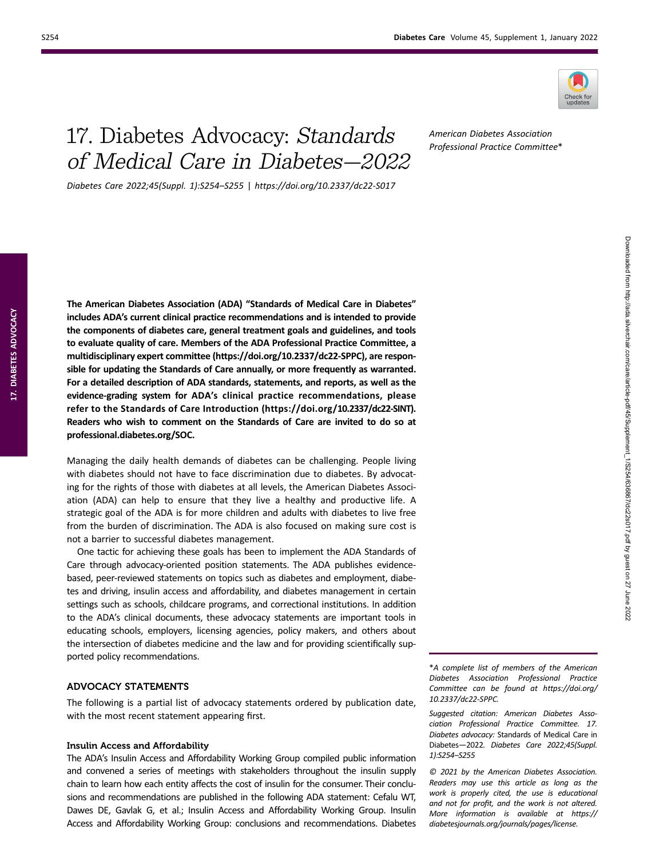

# 17. Diabetes Advocacy: Standards of Medical Care in Diabetes—2022

American Diabetes Association Professional Practice Committee\*

Diabetes Care 2022;45(Suppl. 1):S254–S255 | https://doi.org/10.2337/dc22-S017

The American Diabetes Association (ADA) "Standards of Medical Care in Diabetes" includes ADA's current clinical practice recommendations and is intended to provide the components of diabetes care, general treatment goals and guidelines, and tools to evaluate quality of care. Members of the ADA Professional Practice Committee, a multidisciplinary expert committee ([https://doi.org/10.2337/dc22-SPPC\)](https://doi.org/10.2337/dc22-SPPC), are responsible for updating the Standards of Care annually, or more frequently as warranted. For a detailed description of ADA standards, statements, and reports, as well as the evidence-grading system for ADA's clinical practice recommendations, please refer to the Standards of Care Introduction ([https://doi.org/10.2337/dc22-SINT\)](https://doi.org/10.2337/dc22-SINT). Readers who wish to comment on the Standards of Care are invited to do so at [professional.diabetes.org/SOC](https://professional.diabetes.org/SOC).

Managing the daily health demands of diabetes can be challenging. People living with diabetes should not have to face discrimination due to diabetes. By advocating for the rights of those with diabetes at all levels, the American Diabetes Association (ADA) can help to ensure that they live a healthy and productive life. A strategic goal of the ADA is for more children and adults with diabetes to live free from the burden of discrimination. The ADA is also focused on making sure cost is not a barrier to successful diabetes management.

One tactic for achieving these goals has been to implement the ADA Standards of Care through advocacy-oriented position statements. The ADA publishes evidencebased, peer-reviewed statements on topics such as diabetes and employment, diabetes and driving, insulin access and affordability, and diabetes management in certain settings such as schools, childcare programs, and correctional institutions. In addition to the ADA's clinical documents, these advocacy statements are important tools in educating schools, employers, licensing agencies, policy makers, and others about the intersection of diabetes medicine and the law and for providing scientifically supported policy recommendations.

## ADVOCACY STATEMENTS

The following is a partial list of advocacy statements ordered by publication date, with the most recent statement appearing first.

#### Insulin Access and Affordability

The ADA's Insulin Access and Affordability Working Group compiled public information and convened a series of meetings with stakeholders throughout the insulin supply chain to learn how each entity affects the cost of insulin for the consumer. Their conclusions and recommendations are published in the following ADA statement: Cefalu WT, Dawes DE, Gavlak G, et al.; Insulin Access and Affordability Working Group. Insulin Access and Affordability Working Group: conclusions and recommendations. Diabetes

\*A complete list of members of the American Diabetes Association Professional Practice Committee can be found at [https://doi.org/](https://doi.org/10.2337/dc22-SPPC) [10.2337/dc22-SPPC](https://doi.org/10.2337/dc22-SPPC).

Suggested citation: American Diabetes Association Professional Practice Committee. 17. Diabetes advocacy: Standards of Medical Care in Diabetes—2022. Diabetes Care 2022;45(Suppl. 1):S254–S255

© 2021 by the American Diabetes Association. Readers may use this article as long as the work is properly cited, the use is educational and not for profit, and the work is not altered. More information is available at [https://](https://diabetesjournals.org/journals/pages/license) [diabetesjournals.org/journals/pages/license.](https://diabetesjournals.org/journals/pages/license)